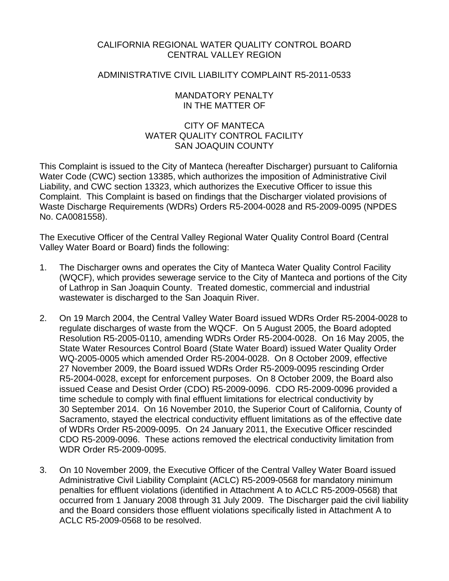## CALIFORNIA REGIONAL WATER QUALITY CONTROL BOARD CENTRAL VALLEY REGION

## ADMINISTRATIVE CIVIL LIABILITY COMPLAINT R5-2011-0533

## MANDATORY PENALTY IN THE MATTER OF

## CITY OF MANTECA WATER QUALITY CONTROL FACILITY SAN JOAQUIN COUNTY

This Complaint is issued to the City of Manteca (hereafter Discharger) pursuant to California Water Code (CWC) section 13385, which authorizes the imposition of Administrative Civil Liability, and CWC section 13323, which authorizes the Executive Officer to issue this Complaint. This Complaint is based on findings that the Discharger violated provisions of Waste Discharge Requirements (WDRs) Orders R5-2004-0028 and R5-2009-0095 (NPDES No. CA0081558).

The Executive Officer of the Central Valley Regional Water Quality Control Board (Central Valley Water Board or Board) finds the following:

- 1. The Discharger owns and operates the City of Manteca Water Quality Control Facility (WQCF), which provides sewerage service to the City of Manteca and portions of the City of Lathrop in San Joaquin County. Treated domestic, commercial and industrial wastewater is discharged to the San Joaquin River.
- 2. On 19 March 2004, the Central Valley Water Board issued WDRs Order R5-2004-0028 to regulate discharges of waste from the WQCF. On 5 August 2005, the Board adopted Resolution R5-2005-0110, amending WDRs Order R5-2004-0028. On 16 May 2005, the State Water Resources Control Board (State Water Board) issued Water Quality Order WQ-2005-0005 which amended Order R5-2004-0028. On 8 October 2009, effective 27 November 2009, the Board issued WDRs Order R5-2009-0095 rescinding Order R5-2004-0028, except for enforcement purposes. On 8 October 2009, the Board also issued Cease and Desist Order (CDO) R5-2009-0096. CDO R5-2009-0096 provided a time schedule to comply with final effluent limitations for electrical conductivity by 30 September 2014. On 16 November 2010, the Superior Court of California, County of Sacramento, stayed the electrical conductivity effluent limitations as of the effective date of WDRs Order R5-2009-0095. On 24 January 2011, the Executive Officer rescinded CDO R5-2009-0096. These actions removed the electrical conductivity limitation from WDR Order R5-2009-0095.
- 3. On 10 November 2009, the Executive Officer of the Central Valley Water Board issued Administrative Civil Liability Complaint (ACLC) R5-2009-0568 for mandatory minimum penalties for effluent violations (identified in Attachment A to ACLC R5-2009-0568) that occurred from 1 January 2008 through 31 July 2009. The Discharger paid the civil liability and the Board considers those effluent violations specifically listed in Attachment A to ACLC R5-2009-0568 to be resolved.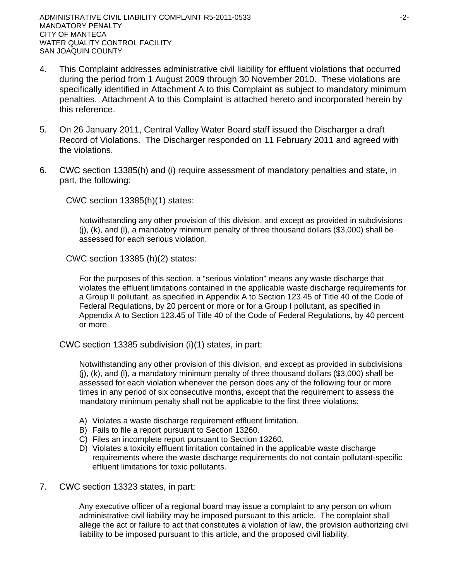- 4. This Complaint addresses administrative civil liability for effluent violations that occurred during the period from 1 August 2009 through 30 November 2010. These violations are specifically identified in Attachment A to this Complaint as subject to mandatory minimum penalties. Attachment A to this Complaint is attached hereto and incorporated herein by this reference.
- 5. On 26 January 2011, Central Valley Water Board staff issued the Discharger a draft Record of Violations. The Discharger responded on 11 February 2011 and agreed with the violations.
- 6. CWC section 13385(h) and (i) require assessment of mandatory penalties and state, in part, the following:

CWC section 13385(h)(1) states:

Notwithstanding any other provision of this division, and except as provided in subdivisions (j), (k), and (l), a mandatory minimum penalty of three thousand dollars (\$3,000) shall be assessed for each serious violation.

CWC section 13385 (h)(2) states:

For the purposes of this section, a "serious violation" means any waste discharge that violates the effluent limitations contained in the applicable waste discharge requirements for a Group II pollutant, as specified in Appendix A to Section 123.45 of Title 40 of the Code of Federal Regulations, by 20 percent or more or for a Group I pollutant, as specified in Appendix A to Section 123.45 of Title 40 of the Code of Federal Regulations, by 40 percent or more.

CWC section 13385 subdivision (i)(1) states, in part:

Notwithstanding any other provision of this division, and except as provided in subdivisions  $(i)$ ,  $(k)$ , and  $(l)$ , a mandatory minimum penalty of three thousand dollars (\$3,000) shall be assessed for each violation whenever the person does any of the following four or more times in any period of six consecutive months, except that the requirement to assess the mandatory minimum penalty shall not be applicable to the first three violations:

- A) Violates a waste discharge requirement effluent limitation.
- B) Fails to file a report pursuant to Section 13260.
- C) Files an incomplete report pursuant to Section 13260.
- D) Violates a toxicity effluent limitation contained in the applicable waste discharge requirements where the waste discharge requirements do not contain pollutant-specific effluent limitations for toxic pollutants.
- 7. CWC section 13323 states, in part:

Any executive officer of a regional board may issue a complaint to any person on whom administrative civil liability may be imposed pursuant to this article. The complaint shall allege the act or failure to act that constitutes a violation of law, the provision authorizing civil liability to be imposed pursuant to this article, and the proposed civil liability.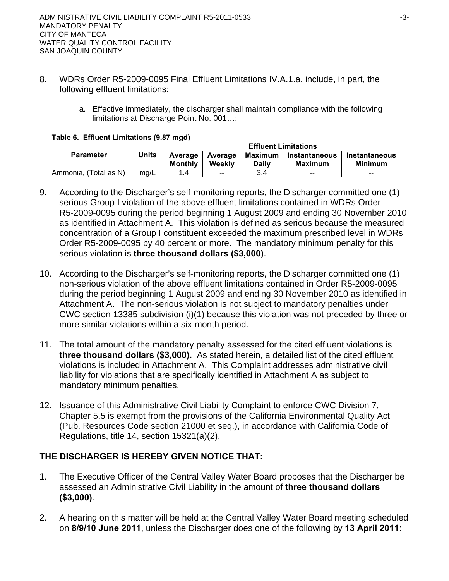- 8. WDRs Order R5-2009-0095 Final Effluent Limitations IV.A.1.a, include, in part, the following effluent limitations:
	- a. Effective immediately, the discharger shall maintain compliance with the following limitations at Discharge Point No. 001…:

|                       | Units | <b>Effluent Limitations</b> |        |              |               |                |
|-----------------------|-------|-----------------------------|--------|--------------|---------------|----------------|
| <b>Parameter</b>      |       | Average<br>Average          |        | Maximum      | Instantaneous | Instantaneous  |
|                       |       | <b>Monthly</b>              | Weekly | <b>Daily</b> | Maximum       | <b>Minimum</b> |
| Ammonia, (Total as N) | ma/L  | $\boldsymbol{\Lambda}$      | $- -$  | 3.4          | $-$           | $-$            |

### **Table 6. Effluent Limitations (9.87 mgd)**

- 9. According to the Discharger's self-monitoring reports, the Discharger committed one (1) serious Group I violation of the above effluent limitations contained in WDRs Order R5-2009-0095 during the period beginning 1 August 2009 and ending 30 November 2010 as identified in Attachment A. This violation is defined as serious because the measured concentration of a Group I constituent exceeded the maximum prescribed level in WDRs Order R5-2009-0095 by 40 percent or more. The mandatory minimum penalty for this serious violation is **three thousand dollars (\$3,000)**.
- 10. According to the Discharger's self-monitoring reports, the Discharger committed one (1) non-serious violation of the above effluent limitations contained in Order R5-2009-0095 during the period beginning 1 August 2009 and ending 30 November 2010 as identified in Attachment A. The non-serious violation is not subject to mandatory penalties under CWC section 13385 subdivision (i)(1) because this violation was not preceded by three or more similar violations within a six-month period.
- 11. The total amount of the mandatory penalty assessed for the cited effluent violations is **three thousand dollars (\$3,000).** As stated herein, a detailed list of the cited effluent violations is included in Attachment A. This Complaint addresses administrative civil liability for violations that are specifically identified in Attachment A as subject to mandatory minimum penalties.
- 12. Issuance of this Administrative Civil Liability Complaint to enforce CWC Division 7, Chapter 5.5 is exempt from the provisions of the California Environmental Quality Act (Pub. Resources Code section 21000 et seq.), in accordance with California Code of Regulations, title 14, section 15321(a)(2).

# **THE DISCHARGER IS HEREBY GIVEN NOTICE THAT:**

- 1. The Executive Officer of the Central Valley Water Board proposes that the Discharger be assessed an Administrative Civil Liability in the amount of **three thousand dollars (\$3,000)**.
- 2. A hearing on this matter will be held at the Central Valley Water Board meeting scheduled on **8/9/10 June 2011**, unless the Discharger does one of the following by **13 April 2011**: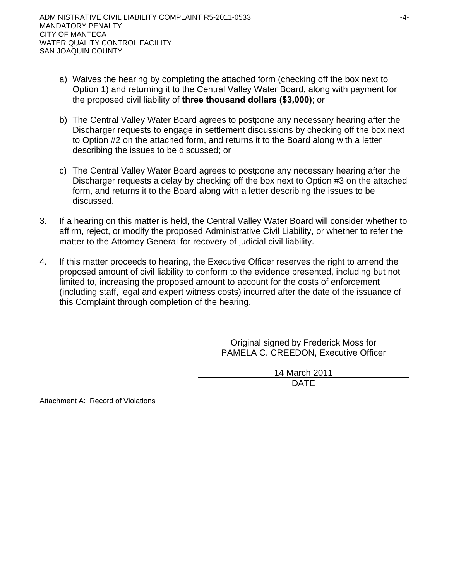- a) Waives the hearing by completing the attached form (checking off the box next to Option 1) and returning it to the Central Valley Water Board, along with payment for the proposed civil liability of **three thousand dollars (\$3,000)**; or
- b) The Central Valley Water Board agrees to postpone any necessary hearing after the Discharger requests to engage in settlement discussions by checking off the box next to Option #2 on the attached form, and returns it to the Board along with a letter describing the issues to be discussed; or
- c) The Central Valley Water Board agrees to postpone any necessary hearing after the Discharger requests a delay by checking off the box next to Option #3 on the attached form, and returns it to the Board along with a letter describing the issues to be discussed.
- 3. If a hearing on this matter is held, the Central Valley Water Board will consider whether to affirm, reject, or modify the proposed Administrative Civil Liability, or whether to refer the matter to the Attorney General for recovery of judicial civil liability.
- 4. If this matter proceeds to hearing, the Executive Officer reserves the right to amend the proposed amount of civil liability to conform to the evidence presented, including but not limited to, increasing the proposed amount to account for the costs of enforcement (including staff, legal and expert witness costs) incurred after the date of the issuance of this Complaint through completion of the hearing.

 Original signed by Frederick Moss for PAMELA C. CREEDON, Executive Officer

> 14 March 2011 DATE

Attachment A: Record of Violations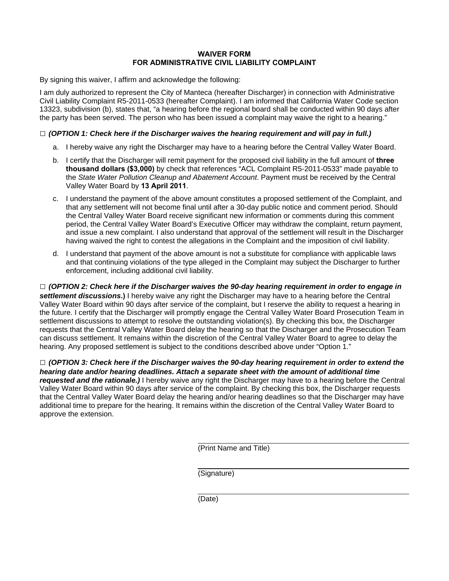#### **WAIVER FORM FOR ADMINISTRATIVE CIVIL LIABILITY COMPLAINT**

By signing this waiver, I affirm and acknowledge the following:

I am duly authorized to represent the City of Manteca (hereafter Discharger) in connection with Administrative Civil Liability Complaint R5-2011-0533 (hereafter Complaint). I am informed that California Water Code section 13323, subdivision (b), states that, "a hearing before the regional board shall be conducted within 90 days after the party has been served. The person who has been issued a complaint may waive the right to a hearing."

#### **□** *(OPTION 1: Check here if the Discharger waives the hearing requirement and will pay in full.)*

- a. I hereby waive any right the Discharger may have to a hearing before the Central Valley Water Board.
- b. I certify that the Discharger will remit payment for the proposed civil liability in the full amount of **three thousand dollars (\$3,000)** by check that references "ACL Complaint R5-2011-0533" made payable to the *State Water Pollution Cleanup and Abatement Account*. Payment must be received by the Central Valley Water Board by **13 April 2011**.
- c. I understand the payment of the above amount constitutes a proposed settlement of the Complaint, and that any settlement will not become final until after a 30-day public notice and comment period. Should the Central Valley Water Board receive significant new information or comments during this comment period, the Central Valley Water Board's Executive Officer may withdraw the complaint, return payment, and issue a new complaint. I also understand that approval of the settlement will result in the Discharger having waived the right to contest the allegations in the Complaint and the imposition of civil liability.
- d. I understand that payment of the above amount is not a substitute for compliance with applicable laws and that continuing violations of the type alleged in the Complaint may subject the Discharger to further enforcement, including additional civil liability.

**□** *(OPTION 2: Check here if the Discharger waives the 90-day hearing requirement in order to engage in settlement discussions***.)** I hereby waive any right the Discharger may have to a hearing before the Central Valley Water Board within 90 days after service of the complaint, but I reserve the ability to request a hearing in the future. I certify that the Discharger will promptly engage the Central Valley Water Board Prosecution Team in settlement discussions to attempt to resolve the outstanding violation(s). By checking this box, the Discharger requests that the Central Valley Water Board delay the hearing so that the Discharger and the Prosecution Team can discuss settlement. It remains within the discretion of the Central Valley Water Board to agree to delay the hearing. Any proposed settlement is subject to the conditions described above under "Option 1."

**□** *(OPTION 3: Check here if the Discharger waives the 90-day hearing requirement in order to extend the hearing date and/or hearing deadlines. Attach a separate sheet with the amount of additional time requested and the rationale.)* I hereby waive any right the Discharger may have to a hearing before the Central Valley Water Board within 90 days after service of the complaint. By checking this box, the Discharger requests that the Central Valley Water Board delay the hearing and/or hearing deadlines so that the Discharger may have additional time to prepare for the hearing. It remains within the discretion of the Central Valley Water Board to approve the extension.

(Print Name and Title)

(Signature)

(Date)